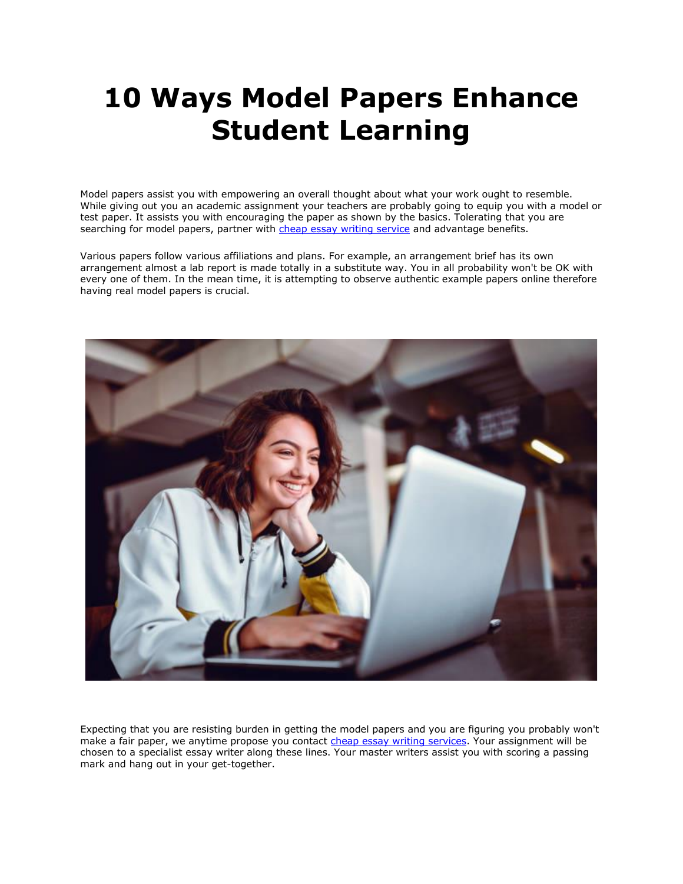# **10 Ways Model Papers Enhance Student Learning**

Model papers assist you with empowering an overall thought about what your work ought to resemble. While giving out you an academic assignment your teachers are probably going to equip you with a model or test paper. It assists you with encouraging the paper as shown by the basics. Tolerating that you are searching for model papers, partner with [cheap essay writing service](https://theessaywritingservice.com/) and advantage benefits.

Various papers follow various affiliations and plans. For example, an arrangement brief has its own arrangement almost a lab report is made totally in a substitute way. You in all probability won't be OK with every one of them. In the mean time, it is attempting to observe authentic example papers online therefore having real model papers is crucial.



Expecting that you are resisting burden in getting the model papers and you are figuring you probably won't make a fair paper, we anytime propose you contact [cheap essay writing services.](https://theessaywritingservice.com/) Your assignment will be chosen to a specialist essay writer along these lines. Your master writers assist you with scoring a passing mark and hang out in your get-together.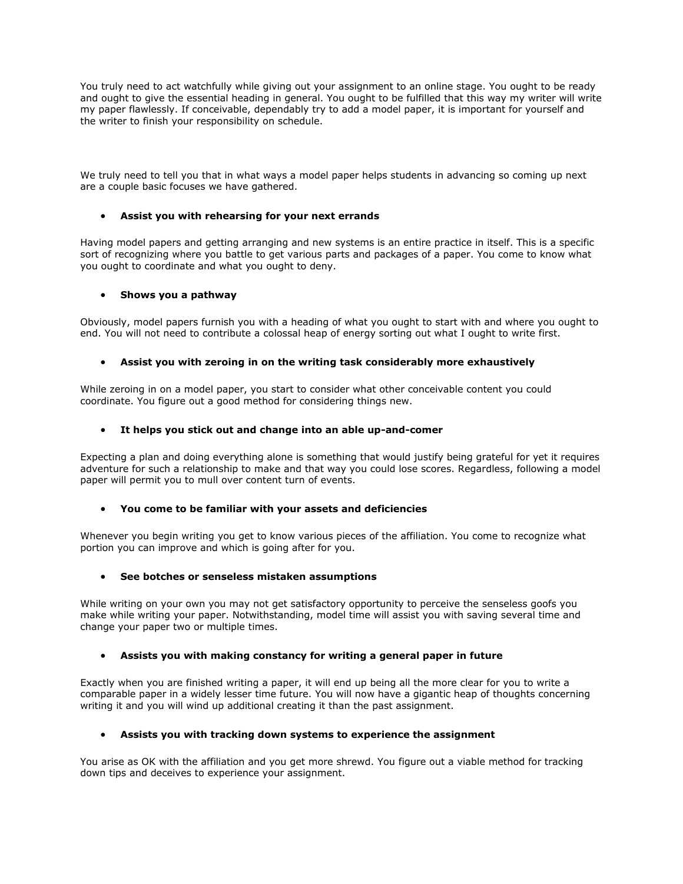You truly need to act watchfully while giving out your assignment to an online stage. You ought to be ready and ought to give the essential heading in general. You ought to be fulfilled that this way my writer will write my paper flawlessly. If conceivable, dependably try to add a model paper, it is important for yourself and the writer to finish your responsibility on schedule.

We truly need to tell you that in what ways a model paper helps students in advancing so coming up next are a couple basic focuses we have gathered.

# • **Assist you with rehearsing for your next errands**

Having model papers and getting arranging and new systems is an entire practice in itself. This is a specific sort of recognizing where you battle to get various parts and packages of a paper. You come to know what you ought to coordinate and what you ought to deny.

# • **Shows you a pathway**

Obviously, model papers furnish you with a heading of what you ought to start with and where you ought to end. You will not need to contribute a colossal heap of energy sorting out what I ought to write first.

# • **Assist you with zeroing in on the writing task considerably more exhaustively**

While zeroing in on a model paper, you start to consider what other conceivable content you could coordinate. You figure out a good method for considering things new.

#### • **It helps you stick out and change into an able up-and-comer**

Expecting a plan and doing everything alone is something that would justify being grateful for yet it requires adventure for such a relationship to make and that way you could lose scores. Regardless, following a model paper will permit you to mull over content turn of events.

#### • **You come to be familiar with your assets and deficiencies**

Whenever you begin writing you get to know various pieces of the affiliation. You come to recognize what portion you can improve and which is going after for you.

#### • **See botches or senseless mistaken assumptions**

While writing on your own you may not get satisfactory opportunity to perceive the senseless goofs you make while writing your paper. Notwithstanding, model time will assist you with saving several time and change your paper two or multiple times.

#### • **Assists you with making constancy for writing a general paper in future**

Exactly when you are finished writing a paper, it will end up being all the more clear for you to write a comparable paper in a widely lesser time future. You will now have a gigantic heap of thoughts concerning writing it and you will wind up additional creating it than the past assignment.

# • **Assists you with tracking down systems to experience the assignment**

You arise as OK with the affiliation and you get more shrewd. You figure out a viable method for tracking down tips and deceives to experience your assignment.